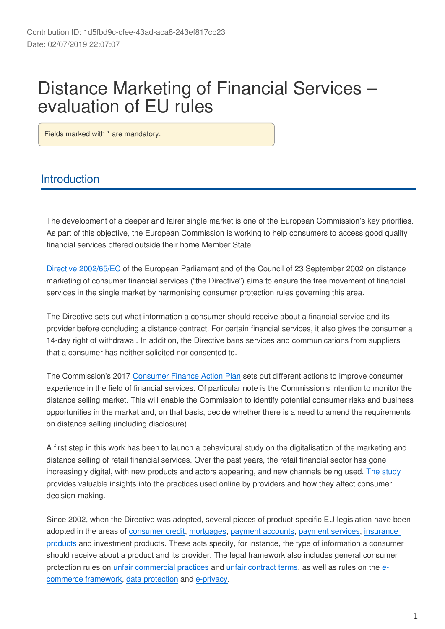# Distance Marketing of Financial Services – evaluation of EU rules

Fields marked with \* are mandatory.

# **Introduction**

The development of a deeper and fairer single market is one of the European Commission's key priorities. As part of this objective, the European Commission is working to help consumers to access good quality financial services offered outside their home Member State.

[Directive 2002/65/EC](https://eur-lex.europa.eu/legal-content/EN/TXT/?uri=CELEX:32002L0065) of the European Parliament and of the Council of 23 September 2002 on distance marketing of consumer financial services ("the Directive") aims to ensure the free movement of financial services in the single market by harmonising consumer protection rules governing this area.

The Directive sets out what information a consumer should receive about a financial service and its provider before concluding a distance contract. For certain financial services, it also gives the consumer a 14-day right of withdrawal. In addition, the Directive bans services and communications from suppliers that a consumer has neither solicited nor consented to.

The Commission's 2017 [Consumer Finance Action Plan](https://eur-lex.europa.eu/legal-content/en/TXT/?uri=CELEX%3A52017DC0139) sets out different actions to improve consumer experience in the field of financial services. Of particular note is the Commission's intention to monitor the distance selling market. This will enable the Commission to identify potential consumer risks and business opportunities in the market and, on that basis, decide whether there is a need to amend the requirements on distance selling (including disclosure).

A first step in this work has been to launch a behavioural study on the digitalisation of the marketing and distance selling of retail financial services. Over the past years, the retail financial sector has gone increasingly digital, with new products and actors appearing, and new channels being used. [The study](https://ec.europa.eu/info/live-work-travel-eu/consumers/financial-products-and-services/consumer-credit-policy-information_en#distancemarketingoffinancialservices) provides valuable insights into the practices used online by providers and how they affect consumer decision-making.

Since 2002, when the Directive was adopted, several pieces of product-specific EU legislation have been adopted in the areas of [consumer credit](https://eur-lex.europa.eu/legal-content/EN/TXT/?uri=LEGISSUM%3Aco0001), [mortgages,](https://eur-lex.europa.eu/legal-content/EN/ALL/?uri=celex%3A32014L0017) [payment accounts,](https://eur-lex.europa.eu/legal-content/en/TXT/?uri=CELEX%3A32014L0092) [payment services,](https://eur-lex.europa.eu/legal-content/EN/TXT/?uri=celex%3A32015L2366) [insurance](https://eur-lex.europa.eu/legal-content/en/TXT/?uri=CELEX%3A32016L0097)  [products](https://eur-lex.europa.eu/legal-content/en/TXT/?uri=CELEX%3A32016L0097) and investment products. These acts specify, for instance, the type of information a consumer should receive about a product and its provider. The legal framework also includes general consumer protection rules on [unfair commercial practices](https://eur-lex.europa.eu/legal-content/EN/TXT/?uri=celex%3A32005L0029) and [unfair contract terms,](https://eur-lex.europa.eu/legal-content/EN/TXT/?uri=celex%3A31993L0013) as well as rules on the [e](https://eur-lex.europa.eu/legal-content/EN/ALL/?uri=CELEX%3A32000L0031)[commerce framework](https://eur-lex.europa.eu/legal-content/EN/ALL/?uri=CELEX%3A32000L0031), [data protection](https://eur-lex.europa.eu/legal-content/EN/TXT/?uri=celex%3A32016R0679) and [e-privacy](https://eur-lex.europa.eu/legal-content/EN/ALL/?uri=celex%3A32002L0058).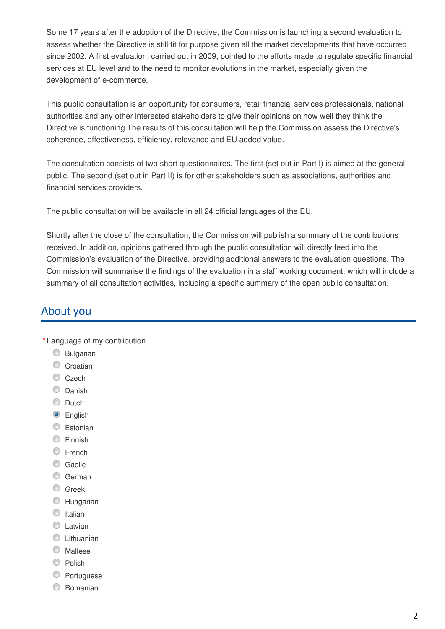Some 17 years after the adoption of the Directive, the Commission is launching a second evaluation to assess whether the Directive is still fit for purpose given all the market developments that have occurred since 2002. A first evaluation, carried out in 2009, pointed to the efforts made to regulate specific financial services at EU level and to the need to monitor evolutions in the market, especially given the development of e-commerce.

This public consultation is an opportunity for consumers, retail financial services professionals, national authorities and any other interested stakeholders to give their opinions on how well they think the Directive is functioning.The results of this consultation will help the Commission assess the Directive's coherence, effectiveness, efficiency, relevance and EU added value.

The consultation consists of two short questionnaires. The first (set out in Part I) is aimed at the general public. The second (set out in Part II) is for other stakeholders such as associations, authorities and financial services providers.

The public consultation will be available in all 24 official languages of the EU.

Shortly after the close of the consultation, the Commission will publish a summary of the contributions received. In addition, opinions gathered through the public consultation will directly feed into the Commission's evaluation of the Directive, providing additional answers to the evaluation questions. The Commission will summarise the findings of the evaluation in a staff working document, which will include a summary of all consultation activities, including a specific summary of the open public consultation.

# About you

- **\*** Language of my contribution
	- **Bulgarian**
	- Croatian
	- C<sub>zech</sub>
	- C Danish
	- C Dutch
	- **O** English
	- C Estonian
	- **Einnish**
	- C French
	- Gaelic
	- C German
	- **C** Greek
	- **C** Hungarian
	- $\circ$  Italian
	- **C** Latvian
	- C Lithuanian
	- **Maltese**
	- C Polish
	- **Portuguese**
	- Romanian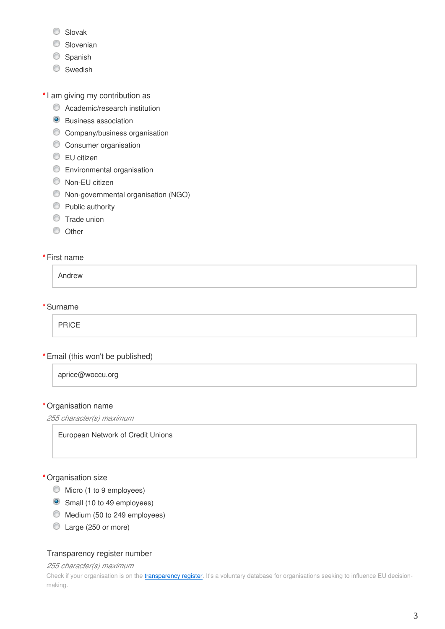- C Slovak
- Slovenian
- Spanish
- Swedish

**\***I am giving my contribution as

- **C** Academic/research institution
- **O** Business association
- **C** Company/business organisation
- **C** Consumer organisation
- **EU** citizen
- Environmental organisation
- Non-EU citizen
- Non-governmental organisation (NGO)
- **Public authority**
- **Trade union**
- O Other

#### **\***First name

Andrew

**\***Surname

PRICE

**\***Email (this won't be published)

aprice@woccu.org

#### **\***Organisation name

*255 character(s) maximum*

European Network of Credit Unions

#### **\***Organisation size

- $\bullet$  Micro (1 to 9 employees)
- Small (10 to 49 employees)
- Medium (50 to 249 employees)
- Large (250 or more)

#### Transparency register number

*255 character(s) maximum*

Check if your organisation is on the *[transparency register](http://ec.europa.eu/transparencyregister/public/homePage.do?redir=false&locale=en)*. It's a voluntary database for organisations seeking to influence EU decisionmaking.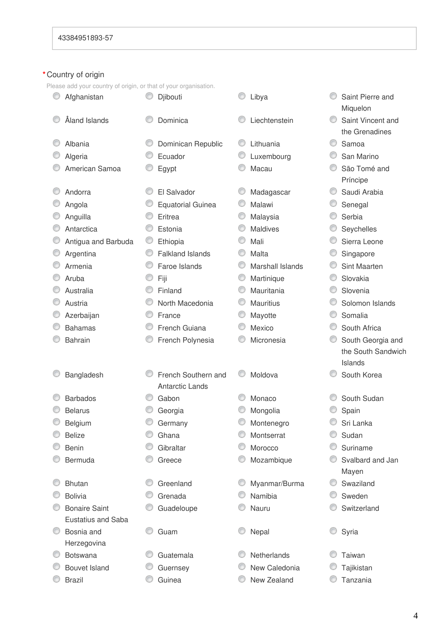### **\***Country of origin

Please add your country of origin, or that of your organisation.

| -lease add your country of ongin, or that or your organisation. |   |                          |   |                  |                    |
|-----------------------------------------------------------------|---|--------------------------|---|------------------|--------------------|
| Afghanistan                                                     |   | Djibouti                 |   | Libya            | Saint Pierre and   |
|                                                                 |   |                          |   |                  | Miquelon           |
| Åland Islands                                                   |   | Dominica                 |   | Liechtenstein    | Saint Vincent and  |
|                                                                 |   |                          |   |                  | the Grenadines     |
| Albania                                                         |   | Dominican Republic       |   | Lithuania        | Samoa              |
| Algeria                                                         |   | Ecuador                  |   | Luxembourg       | San Marino         |
| American Samoa                                                  |   | Egypt                    |   | Macau            | São Tomé and       |
|                                                                 |   |                          |   |                  | Príncipe           |
| Andorra                                                         |   | El Salvador              |   | Madagascar       | Saudi Arabia       |
| Angola                                                          |   | <b>Equatorial Guinea</b> |   | Malawi           | Senegal            |
| Anguilla                                                        |   | Eritrea                  |   | Malaysia         | Serbia             |
| Antarctica                                                      | O | Estonia                  | O | <b>Maldives</b>  | Seychelles         |
| Antigua and Barbuda                                             | O | Ethiopia                 |   | Mali             | Sierra Leone       |
| Argentina                                                       | O | <b>Falkland Islands</b>  |   | Malta            | Singapore          |
| Armenia                                                         | ◎ | Faroe Islands            |   | Marshall Islands | Sint Maarten       |
| Aruba                                                           |   | Fiji                     | O | Martinique       | Slovakia           |
| Australia                                                       |   | Finland                  | O | Mauritania       | Slovenia           |
| Austria                                                         |   | North Macedonia          |   | <b>Mauritius</b> | Solomon Islands    |
| Azerbaijan                                                      | ◎ | France                   |   | Mayotte          | Somalia            |
| <b>Bahamas</b>                                                  | O | French Guiana            |   | Mexico           | South Africa       |
| <b>Bahrain</b>                                                  |   | French Polynesia         |   | Micronesia       | South Georgia and  |
|                                                                 |   |                          |   |                  | the South Sandwich |
|                                                                 |   |                          |   |                  | Islands            |
| Bangladesh                                                      |   | French Southern and      |   | Moldova          | South Korea        |
|                                                                 |   | <b>Antarctic Lands</b>   |   |                  |                    |
| <b>Barbados</b>                                                 |   | Gabon                    |   | Monaco           | South Sudan        |
| <b>Belarus</b>                                                  |   | Georgia                  |   | Mongolia         | Spain              |
| Belgium                                                         |   | Germany                  |   | Montenegro       | Sri Lanka          |
| <b>Belize</b>                                                   |   | Ghana                    |   | Montserrat       | Sudan              |
| <b>Benin</b>                                                    |   | Gibraltar                |   | Morocco          | Suriname           |
| Bermuda                                                         |   | Greece                   |   | Mozambique       | Svalbard and Jan   |
|                                                                 |   |                          |   |                  | Mayen              |
| <b>Bhutan</b>                                                   |   | Greenland                |   | Myanmar/Burma    | Swaziland          |
| <b>Bolivia</b>                                                  |   | Grenada                  |   | Namibia          | Sweden             |
| <b>Bonaire Saint</b>                                            | O | Guadeloupe               |   | Nauru            | Switzerland        |
| <b>Eustatius and Saba</b>                                       |   |                          |   |                  |                    |
| Bosnia and                                                      |   | Guam                     |   | Nepal            | Syria              |
| Herzegovina                                                     |   |                          |   |                  |                    |
| <b>Botswana</b>                                                 |   | Guatemala                |   | Netherlands      | Taiwan             |
| <b>Bouvet Island</b>                                            |   | Guernsey                 |   | New Caledonia    | Tajikistan         |
| <b>Brazil</b>                                                   |   | Guinea                   |   | New Zealand      | Tanzania           |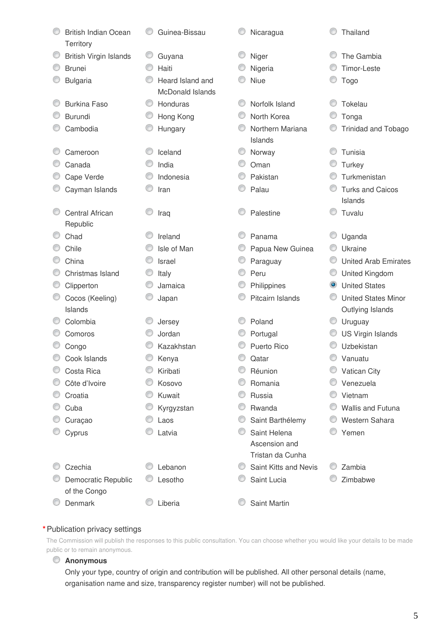| <b>British Indian Ocean</b>                    |   | Guinea-Bissau                               | Nicaragua                         |           | Thailand                    |
|------------------------------------------------|---|---------------------------------------------|-----------------------------------|-----------|-----------------------------|
| Territory                                      |   |                                             |                                   |           | The Gambia                  |
| <b>British Virgin Islands</b><br><b>Brunei</b> |   | Guyana<br>Haiti                             | Niger                             |           | Timor-Leste                 |
|                                                |   |                                             | Nigeria                           |           |                             |
| <b>Bulgaria</b>                                |   | Heard Island and<br><b>McDonald Islands</b> | Niue                              |           | Togo                        |
| <b>Burkina Faso</b>                            | ⊙ | Honduras                                    | Norfolk Island                    |           | Tokelau                     |
| <b>Burundi</b>                                 |   | Hong Kong                                   | North Korea                       |           | Tonga                       |
| Cambodia                                       |   | Hungary                                     | Northern Mariana<br>Islands       |           | <b>Trinidad and Tobago</b>  |
| Cameroon                                       |   | Iceland                                     | Norway                            |           | Tunisia                     |
| Canada                                         |   | India                                       | Oman                              |           | Turkey                      |
| Cape Verde                                     |   | Indonesia                                   | Pakistan                          |           | Turkmenistan                |
| Cayman Islands                                 |   | Iran                                        | Palau                             |           | <b>Turks and Caicos</b>     |
|                                                |   |                                             |                                   |           | Islands                     |
| <b>Central African</b><br>Republic             |   | Iraq                                        | Palestine                         |           | Tuvalu                      |
| Chad                                           |   | Ireland                                     | Panama                            |           | Uganda                      |
| Chile                                          |   | Isle of Man                                 | Papua New Guinea                  |           | Ukraine                     |
| China                                          |   | <b>Israel</b>                               | Paraguay                          | ◎         | <b>United Arab Emirates</b> |
| Christmas Island                               |   | Italy                                       | Peru                              | O         | United Kingdom              |
| Clipperton                                     |   | Jamaica                                     | Philippines                       | $\bullet$ | <b>United States</b>        |
| Cocos (Keeling)                                |   | Japan                                       | Pitcairn Islands                  |           | <b>United States Minor</b>  |
| Islands                                        |   |                                             |                                   |           | Outlying Islands            |
| Colombia                                       |   | Jersey                                      | Poland                            | O         | Uruguay                     |
| Comoros                                        |   | Jordan                                      | Portugal                          | O         | <b>US Virgin Islands</b>    |
| Congo                                          |   | Kazakhstan                                  | Puerto Rico                       |           | Uzbekistan                  |
| Cook Islands                                   |   | Kenya                                       | Qatar                             |           | Vanuatu                     |
| Costa Rica                                     |   | Kiribati                                    | Réunion                           |           | Vatican City                |
| Côte d'Ivoire                                  |   | Kosovo                                      | Romania                           |           | Venezuela                   |
| Croatia                                        |   | Kuwait                                      | Russia                            | O         | Vietnam                     |
| Cuba                                           |   | Kyrgyzstan                                  | Rwanda                            |           | Wallis and Futuna           |
| Curaçao                                        |   | Laos                                        | Saint Barthélemy                  |           | Western Sahara              |
| Cyprus                                         |   | Latvia                                      | Saint Helena                      |           | Yemen                       |
|                                                |   |                                             | Ascension and<br>Tristan da Cunha |           |                             |
| Czechia                                        |   | Lebanon                                     | Saint Kitts and Nevis             |           | Zambia                      |
| Democratic Republic                            |   | Lesotho                                     | Saint Lucia                       |           | Zimbabwe                    |
| of the Congo                                   |   |                                             |                                   |           |                             |
| Denmark                                        |   | Liberia                                     | Saint Martin                      |           |                             |

#### **\***Publication privacy settings

The Commission will publish the responses to this public consultation. You can choose whether you would like your details to be made public or to remain anonymous.

## **Anonymous**

Only your type, country of origin and contribution will be published. All other personal details (name, organisation name and size, transparency register number) will not be published.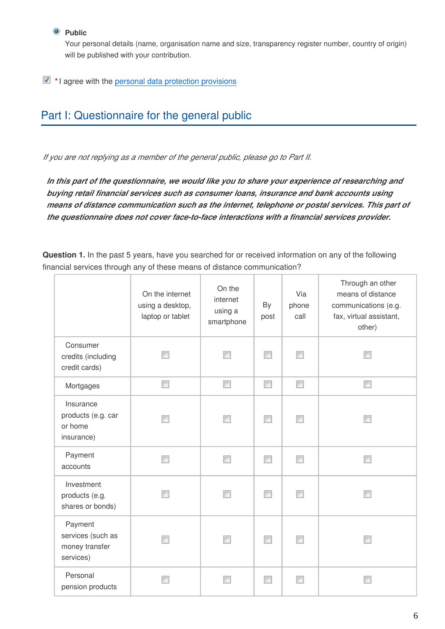#### **Public**

Your personal details (name, organisation name and size, transparency register number, country of origin) will be published with your contribution.

**\***I agree with the [personal data protection provisions](https://ec.europa.eu/info/law/better-regulation/specific-privacy-statement_en)

# Part I: Questionnaire for the general public

*If you are not replying as a member of the general public, please go to Part II.*

*In this part of the questionnaire, we would like you to share your experience of researching and buying retail financial services such as consumer loans, insurance and bank accounts using means of distance communication such as the internet, telephone or postal services. This part of the questionnaire does not cover face-to-face interactions with a financial services provider.*

**Question 1.** In the past 5 years, have you searched for or received information on any of the following financial services through any of these means of distance communication?

|                                                             | On the internet<br>using a desktop,<br>laptop or tablet | On the<br>internet<br>using a<br>smartphone | By<br>post               | Via<br>phone<br>call | Through an other<br>means of distance<br>communications (e.g.<br>fax, virtual assistant,<br>other) |
|-------------------------------------------------------------|---------------------------------------------------------|---------------------------------------------|--------------------------|----------------------|----------------------------------------------------------------------------------------------------|
| Consumer<br>credits (including<br>credit cards)             |                                                         | П                                           | П                        | $\blacksquare$       |                                                                                                    |
| Mortgages                                                   | П                                                       | $\Box$                                      | $\overline{\phantom{a}}$ | $\Box$               | $\Box$                                                                                             |
| Insurance<br>products (e.g. car<br>or home<br>insurance)    |                                                         |                                             | E                        |                      |                                                                                                    |
| Payment<br>accounts                                         | П                                                       | $\Box$                                      | П                        | $\blacksquare$       | П                                                                                                  |
| Investment<br>products (e.g.<br>shares or bonds)            |                                                         |                                             |                          |                      |                                                                                                    |
| Payment<br>services (such as<br>money transfer<br>services) |                                                         | П                                           |                          |                      |                                                                                                    |
| Personal<br>pension products                                |                                                         |                                             |                          |                      |                                                                                                    |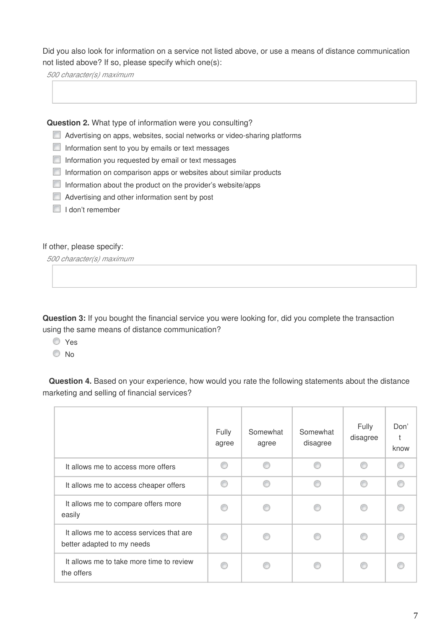Did you also look for information on a service not listed above, or use a means of distance communication not listed above? If so, please specify which one(s):

*500 character(s) maximum*

**Question 2.** What type of information were you consulting?

- Advertising on apps, websites, social networks or video-sharing platforms
- $\Box$  Information sent to you by emails or text messages
- $\Box$  Information you requested by email or text messages
- Information on comparison apps or websites about similar products
- Information about the product on the provider's website/apps
- Advertising and other information sent by post
- I I don't remember

If other, please specify:

*500 character(s) maximum*

**Question 3:** If you bought the financial service you were looking for, did you complete the transaction using the same means of distance communication?

- O Yes
- © No

**Question 4.** Based on your experience, how would you rate the following statements about the distance marketing and selling of financial services?

|                                                                        | <b>Fully</b><br>agree | Somewhat<br>agree | Somewhat<br>disagree | Fully<br>disagree | Don'<br>know |
|------------------------------------------------------------------------|-----------------------|-------------------|----------------------|-------------------|--------------|
| It allows me to access more offers                                     | C                     |                   |                      | ⋒                 |              |
| It allows me to access cheaper offers                                  | ß                     | ⋒                 | ∩                    | ⋒                 |              |
| It allows me to compare offers more<br>easily                          | œ                     |                   |                      |                   |              |
| It allows me to access services that are<br>better adapted to my needs |                       |                   |                      |                   |              |
| It allows me to take more time to review<br>the offers                 |                       |                   |                      |                   |              |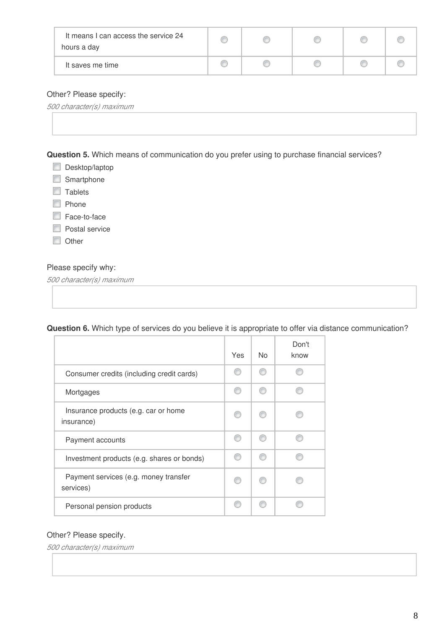| It means I can access the service 24<br>hours a day |  |  |  |
|-----------------------------------------------------|--|--|--|
| It saves me time                                    |  |  |  |

#### Other? Please specify:

*500 character(s) maximum*

**Question 5.** Which means of communication do you prefer using to purchase financial services?

- Desktop/laptop
- Smartphone
- **Tablets**
- **Phone**
- Face-to-face
- **Postal service**
- **Other**

#### Please specify why:

*500 character(s) maximum*

#### **Question 6.** Which type of services do you believe it is appropriate to offer via distance communication?

|                                                    | Yes | No. | Don't<br>know |
|----------------------------------------------------|-----|-----|---------------|
| Consumer credits (including credit cards)          | m   |     |               |
| Mortgages                                          | ◎   | m   |               |
| Insurance products (e.g. car or home<br>insurance) |     |     |               |
| Payment accounts                                   | ∩   |     |               |
| Investment products (e.g. shares or bonds)         | ⋒   |     |               |
| Payment services (e.g. money transfer<br>services) |     |     |               |
| Personal pension products                          |     |     |               |

#### Other? Please specify.

*500 character(s) maximum*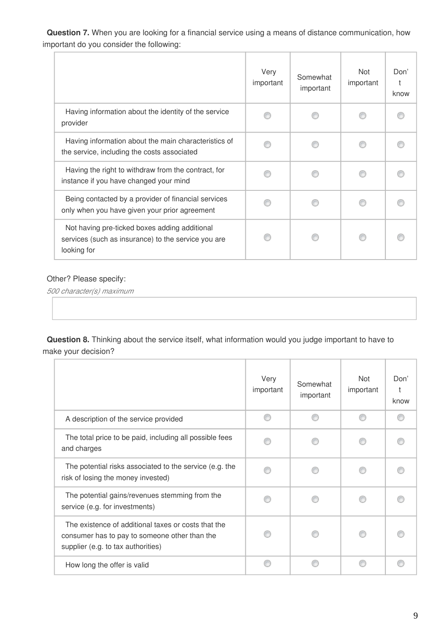**Question 7.** When you are looking for a financial service using a means of distance communication, how important do you consider the following:

|                                                                                                                     | Very<br>important | Somewhat<br>important | Not<br>important | Don'<br>know |
|---------------------------------------------------------------------------------------------------------------------|-------------------|-----------------------|------------------|--------------|
| Having information about the identity of the service<br>provider                                                    |                   |                       |                  |              |
| Having information about the main characteristics of<br>the service, including the costs associated                 |                   |                       |                  |              |
| Having the right to withdraw from the contract, for<br>instance if you have changed your mind                       |                   |                       |                  |              |
| Being contacted by a provider of financial services<br>only when you have given your prior agreement                |                   |                       |                  |              |
| Not having pre-ticked boxes adding additional<br>services (such as insurance) to the service you are<br>looking for |                   |                       |                  |              |

### Other? Please specify:

*500 character(s) maximum*

**Question 8.** Thinking about the service itself, what information would you judge important to have to make your decision?

|                                                                                                                                            | Very<br>important | Somewhat<br>important | Not<br>important | Don'<br>know |
|--------------------------------------------------------------------------------------------------------------------------------------------|-------------------|-----------------------|------------------|--------------|
| A description of the service provided                                                                                                      | ⋒                 |                       |                  |              |
| The total price to be paid, including all possible fees<br>and charges                                                                     |                   |                       |                  |              |
| The potential risks associated to the service (e.g. the<br>risk of losing the money invested)                                              |                   |                       |                  |              |
| The potential gains/revenues stemming from the<br>service (e.g. for investments)                                                           |                   |                       |                  |              |
| The existence of additional taxes or costs that the<br>consumer has to pay to someone other than the<br>supplier (e.g. to tax authorities) |                   |                       |                  |              |
| How long the offer is valid                                                                                                                | ⋒                 |                       |                  |              |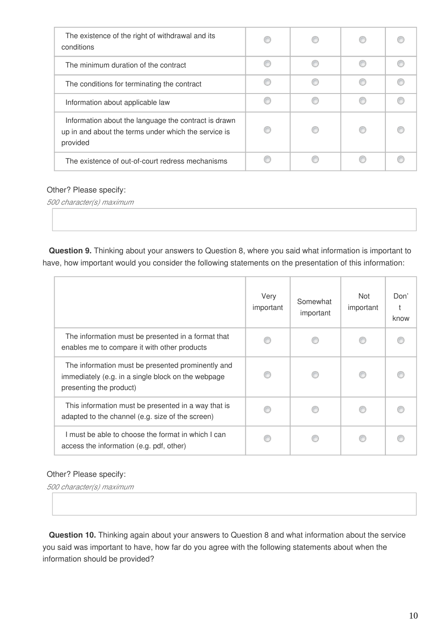| The existence of the right of withdrawal and its<br>conditions                                                           |  |  |
|--------------------------------------------------------------------------------------------------------------------------|--|--|
| The minimum duration of the contract                                                                                     |  |  |
| The conditions for terminating the contract                                                                              |  |  |
| Information about applicable law                                                                                         |  |  |
| Information about the language the contract is drawn<br>up in and about the terms under which the service is<br>provided |  |  |
| The existence of out-of-court redress mechanisms                                                                         |  |  |

#### Other? Please specify:

*500 character(s) maximum*

**Question 9.** Thinking about your answers to Question 8, where you said what information is important to have, how important would you consider the following statements on the presentation of this information:

|                                                                                                                                    | Very<br>important | Somewhat<br>important | Not<br>important | Don'<br>know |
|------------------------------------------------------------------------------------------------------------------------------------|-------------------|-----------------------|------------------|--------------|
| The information must be presented in a format that<br>enables me to compare it with other products                                 |                   |                       |                  |              |
| The information must be presented prominently and<br>immediately (e.g. in a single block on the webpage<br>presenting the product) |                   |                       |                  |              |
| This information must be presented in a way that is<br>adapted to the channel (e.g. size of the screen)                            |                   |                       |                  |              |
| must be able to choose the format in which I can<br>access the information (e.g. pdf, other)                                       |                   |                       |                  |              |

#### Other? Please specify:

*500 character(s) maximum*

**Question 10.** Thinking again about your answers to Question 8 and what information about the service you said was important to have, how far do you agree with the following statements about when the information should be provided?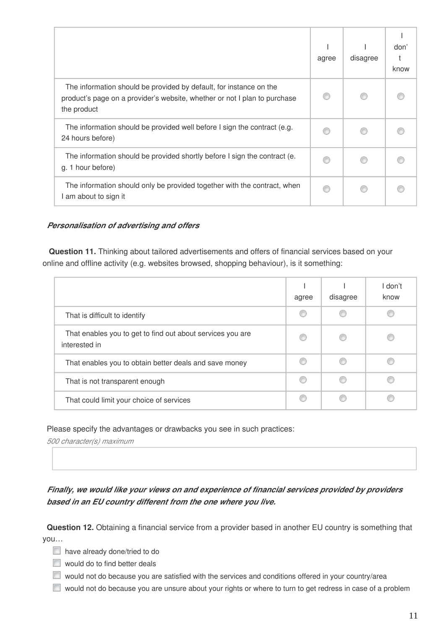|                                                                                                                                                                | agree | disagree | don'<br>know |
|----------------------------------------------------------------------------------------------------------------------------------------------------------------|-------|----------|--------------|
| The information should be provided by default, for instance on the<br>product's page on a provider's website, whether or not I plan to purchase<br>the product |       |          |              |
| The information should be provided well before I sign the contract (e.g.<br>24 hours before)                                                                   |       |          |              |
| The information should be provided shortly before I sign the contract (e.<br>g. 1 hour before)                                                                 |       |          |              |
| The information should only be provided together with the contract, when<br>I am about to sign it                                                              |       |          |              |

#### *Personalisation of advertising and offers*

**Question 11.** Thinking about tailored advertisements and offers of financial services based on your online and offline activity (e.g. websites browsed, shopping behaviour), is it something:

|                                                                             | agree | disagree | l don't<br>know |
|-----------------------------------------------------------------------------|-------|----------|-----------------|
| That is difficult to identify                                               |       |          |                 |
| That enables you to get to find out about services you are<br>interested in |       |          |                 |
| That enables you to obtain better deals and save money                      |       |          |                 |
| That is not transparent enough                                              |       |          |                 |
| That could limit your choice of services                                    |       |          |                 |

Please specify the advantages or drawbacks you see in such practices:

*500 character(s) maximum*

## *Finally, we would like your views on and experience of financial services provided by providers based in an EU country different from the one where you live.*

**Question 12.** Obtaining a financial service from a provider based in another EU country is something that you…

- have already done/tried to do
- **Would do to find better deals**
- would not do because you are satisfied with the services and conditions offered in your country/area
- $\Box$  would not do because you are unsure about your rights or where to turn to get redress in case of a problem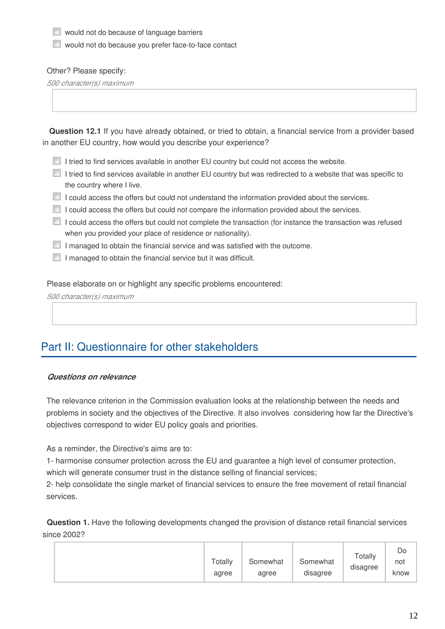**Now** would not do because of language barriers

would not do because you prefer face-to-face contact

#### Other? Please specify:

*500 character(s) maximum*

**Question 12.1** If you have already obtained, or tried to obtain, a financial service from a provider based in another EU country, how would you describe your experience?

- $\Box$  I tried to find services available in another EU country but could not access the website.
- I tried to find services available in another EU country but was redirected to a website that was specific to the country where I live.
- I could access the offers but could not understand the information provided about the services.
- I could access the offers but could not compare the information provided about the services.
- I could access the offers but could not complete the transaction (for instance the transaction was refused when you provided your place of residence or nationality).
- $\Box$  I managed to obtain the financial service and was satisfied with the outcome.
- $\Box$  I managed to obtain the financial service but it was difficult.

Please elaborate on or highlight any specific problems encountered:

*500 character(s) maximum*

# Part II: Questionnaire for other stakeholders

#### *Questions on relevance*

The relevance criterion in the Commission evaluation looks at the relationship between the needs and problems in society and the objectives of the Directive. It also involves considering how far the Directive's objectives correspond to wider EU policy goals and priorities.

As a reminder, the Directive's aims are to:

1- harmonise consumer protection across the EU and guarantee a high level of consumer protection, which will generate consumer trust in the distance selling of financial services;

2- help consolidate the single market of financial services to ensure the free movement of retail financial services.

**Question 1.** Have the following developments changed the provision of distance retail financial services since 2002?

|  | $\tau$ otally<br>agree | Somewhat<br>agree | Somewhat<br>disagree | Totally<br>. .<br>disagree | Do<br>not<br>know |
|--|------------------------|-------------------|----------------------|----------------------------|-------------------|
|--|------------------------|-------------------|----------------------|----------------------------|-------------------|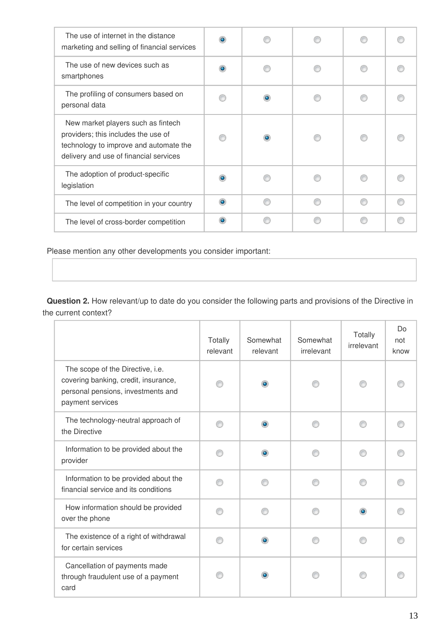| The use of internet in the distance<br>marketing and selling of financial services                                                                            |  |  |  |
|---------------------------------------------------------------------------------------------------------------------------------------------------------------|--|--|--|
| The use of new devices such as<br>smartphones                                                                                                                 |  |  |  |
| The profiling of consumers based on<br>personal data                                                                                                          |  |  |  |
| New market players such as fintech<br>providers; this includes the use of<br>technology to improve and automate the<br>delivery and use of financial services |  |  |  |
| The adoption of product-specific<br>legislation                                                                                                               |  |  |  |
| The level of competition in your country                                                                                                                      |  |  |  |
| The level of cross-border competition                                                                                                                         |  |  |  |

Please mention any other developments you consider important:

**Question 2.** How relevant/up to date do you consider the following parts and provisions of the Directive in the current context?

|                                                                                                                                    | Totally<br>relevant | Somewhat<br>relevant | Somewhat<br>irrelevant | Totally<br>irrelevant | Do<br>not<br>know |
|------------------------------------------------------------------------------------------------------------------------------------|---------------------|----------------------|------------------------|-----------------------|-------------------|
| The scope of the Directive, i.e.<br>covering banking, credit, insurance,<br>personal pensions, investments and<br>payment services |                     | $\bullet$            |                        |                       |                   |
| The technology-neutral approach of<br>the Directive                                                                                |                     | $\bullet$            |                        |                       |                   |
| Information to be provided about the<br>provider                                                                                   |                     | ۰                    |                        |                       |                   |
| Information to be provided about the<br>financial service and its conditions                                                       |                     |                      |                        |                       |                   |
| How information should be provided<br>over the phone                                                                               |                     |                      |                        |                       |                   |
| The existence of a right of withdrawal<br>for certain services                                                                     |                     | $\bullet$            |                        |                       |                   |
| Cancellation of payments made<br>through fraudulent use of a payment<br>card                                                       |                     |                      |                        |                       |                   |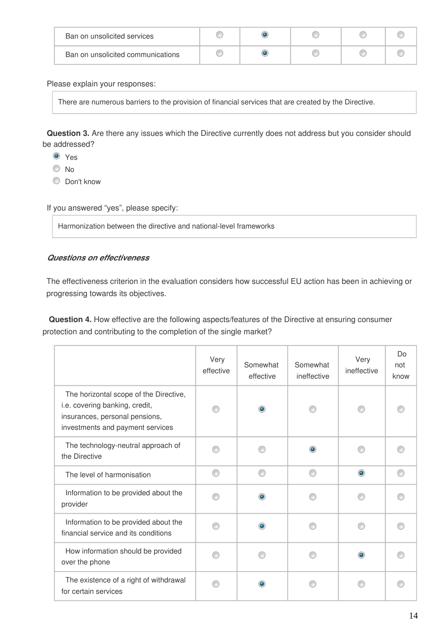| Ban on unsolicited services       |  |  |  |
|-----------------------------------|--|--|--|
| Ban on unsolicited communications |  |  |  |

Please explain your responses:

There are numerous barriers to the provision of financial services that are created by the Directive.

**Question 3.** Are there any issues which the Directive currently does not address but you consider should be addressed?

- **O** Yes
- $\odot$  No
- C Don't know

If you answered "yes", please specify:

Harmonization between the directive and national-level frameworks

#### *Questions on effectiveness*

The effectiveness criterion in the evaluation considers how successful EU action has been in achieving or progressing towards its objectives.

**Question 4.** How effective are the following aspects/features of the Directive at ensuring consumer protection and contributing to the completion of the single market?

|                                                                                                                                                | Very<br>effective | Somewhat<br>effective | Somewhat<br>ineffective | Very<br>ineffective | Do<br>not<br>know |
|------------------------------------------------------------------------------------------------------------------------------------------------|-------------------|-----------------------|-------------------------|---------------------|-------------------|
| The horizontal scope of the Directive,<br>i.e. covering banking, credit,<br>insurances, personal pensions,<br>investments and payment services |                   | $\bullet$             |                         |                     |                   |
| The technology-neutral approach of<br>the Directive                                                                                            |                   |                       | ۰                       |                     |                   |
| The level of harmonisation                                                                                                                     | ∩                 | ⋒                     | ∩                       | $\bullet$           |                   |
| Information to be provided about the<br>provider                                                                                               |                   | $\bullet$             |                         |                     |                   |
| Information to be provided about the<br>financial service and its conditions                                                                   |                   | $\bullet$             |                         |                     |                   |
| How information should be provided<br>over the phone                                                                                           |                   |                       |                         | ۰                   |                   |
| The existence of a right of withdrawal<br>for certain services                                                                                 |                   |                       |                         |                     |                   |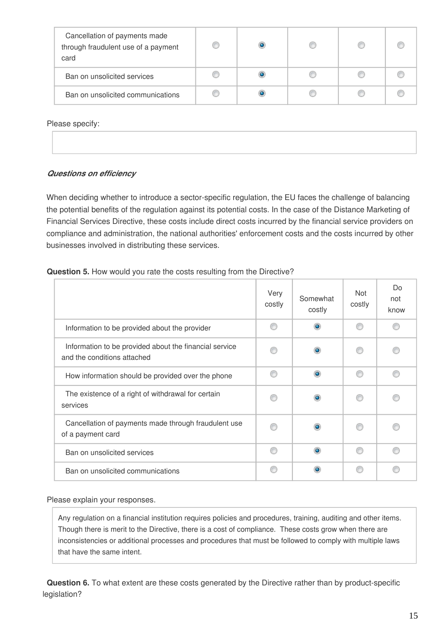| Cancellation of payments made<br>through fraudulent use of a payment<br>card |  |  |  |
|------------------------------------------------------------------------------|--|--|--|
| Ban on unsolicited services                                                  |  |  |  |
| Ban on unsolicited communications                                            |  |  |  |

Please specify:

| $\sim$ $\sim$ $\sim$ $\sim$ $\sim$ $\sim$ $\sim$ $\sim$ |
|---------------------------------------------------------|
|                                                         |
|                                                         |
|                                                         |
|                                                         |

#### *Questions on efficiency*

When deciding whether to introduce a sector-specific regulation, the EU faces the challenge of balancing the potential benefits of the regulation against its potential costs. In the case of the Distance Marketing of Financial Services Directive, these costs include direct costs incurred by the financial service providers on compliance and administration, the national authorities' enforcement costs and the costs incurred by other businesses involved in distributing these services.

#### **Question 5.** How would you rate the costs resulting from the Directive?

|                                                                                       | Very<br>costly | Somewhat<br>costly | Not<br>costly | Do<br>not<br>know |
|---------------------------------------------------------------------------------------|----------------|--------------------|---------------|-------------------|
| Information to be provided about the provider                                         |                | $\bullet$          |               |                   |
| Information to be provided about the financial service<br>and the conditions attached |                |                    |               |                   |
| How information should be provided over the phone                                     |                | $\circ$            | ⋒             |                   |
| The existence of a right of withdrawal for certain<br>services                        |                | $\bullet$          |               |                   |
| Cancellation of payments made through fraudulent use<br>of a payment card             |                |                    |               |                   |
| Ban on unsolicited services                                                           |                | $\bullet$          |               |                   |
| Ban on unsolicited communications                                                     |                |                    |               |                   |

Please explain your responses.

Any regulation on a financial institution requires policies and procedures, training, auditing and other items. Though there is merit to the Directive, there is a cost of compliance. These costs grow when there are inconsistencies or additional processes and procedures that must be followed to comply with multiple laws that have the same intent.

**Question 6.** To what extent are these costs generated by the Directive rather than by product-specific legislation?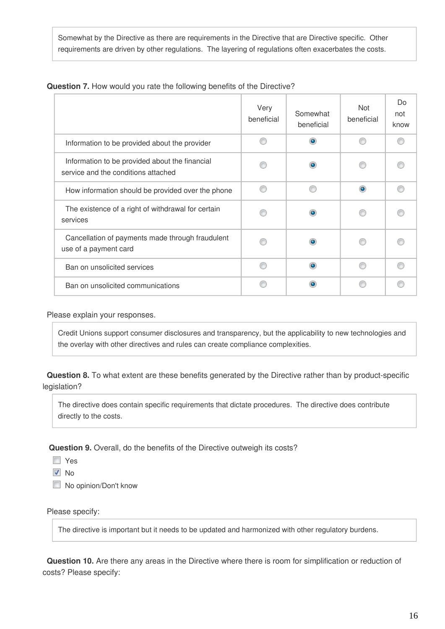Somewhat by the Directive as there are requirements in the Directive that are Directive specific. Other requirements are driven by other regulations. The layering of regulations often exacerbates the costs.

|                                                                                       | Very<br>beneficial | Somewhat<br>beneficial | <b>Not</b><br>beneficial | Do<br>not<br>know |
|---------------------------------------------------------------------------------------|--------------------|------------------------|--------------------------|-------------------|
| Information to be provided about the provider                                         |                    | ۰                      |                          |                   |
| Information to be provided about the financial<br>service and the conditions attached |                    |                        |                          |                   |
| How information should be provided over the phone                                     |                    |                        | $\bullet$                |                   |
| The existence of a right of withdrawal for certain<br>services                        |                    |                        |                          |                   |
| Cancellation of payments made through fraudulent<br>use of a payment card             |                    |                        |                          |                   |
| Ban on unsolicited services                                                           |                    |                        |                          |                   |
| Ban on unsolicited communications                                                     |                    |                        |                          |                   |

#### **Question 7.** How would you rate the following benefits of the Directive?

Please explain your responses.

Credit Unions support consumer disclosures and transparency, but the applicability to new technologies and the overlay with other directives and rules can create compliance complexities.

**Question 8.** To what extent are these benefits generated by the Directive rather than by product-specific legislation?

The directive does contain specific requirements that dictate procedures. The directive does contribute directly to the costs.

**Question 9.** Overall, do the benefits of the Directive outweigh its costs?

- **N** Yes
- **V** No
- No opinion/Don't know

#### Please specify:

The directive is important but it needs to be updated and harmonized with other regulatory burdens.

**Question 10.** Are there any areas in the Directive where there is room for simplification or reduction of costs? Please specify: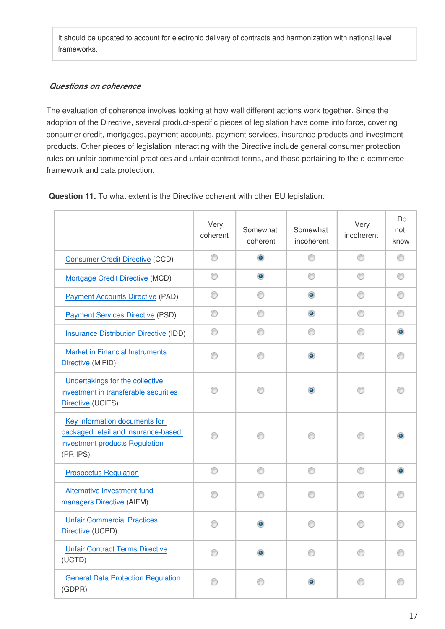It should be updated to account for electronic delivery of contracts and harmonization with national level frameworks.

#### *Questions on coherence*

The evaluation of coherence involves looking at how well different actions work together. Since the adoption of the Directive, several product-specific pieces of legislation have come into force, covering consumer credit, mortgages, payment accounts, payment services, insurance products and investment products. Other pieces of legislation interacting with the Directive include general consumer protection rules on unfair commercial practices and unfair contract terms, and those pertaining to the e-commerce framework and data protection.

**Question 11.** To what extent is the Directive coherent with other EU legislation:

|                                                                                                                    | Very<br>coherent | Somewhat<br>coherent | Somewhat<br>incoherent | Very<br>incoherent | Do<br>not<br>know |
|--------------------------------------------------------------------------------------------------------------------|------------------|----------------------|------------------------|--------------------|-------------------|
| <b>Consumer Credit Directive (CCD)</b>                                                                             | 0                | $\bullet$            | 0                      | 0                  | 0                 |
| Mortgage Credit Directive (MCD)                                                                                    | ⊙                | $\circledcirc$       | ⊙                      | ⊙                  | ⊙                 |
| <b>Payment Accounts Directive (PAD)</b>                                                                            | ⊙                | ⊙                    | $\bullet$              | ⊙                  | ⊙                 |
| <b>Payment Services Directive (PSD)</b>                                                                            | ⊙                | ⊙                    | $_{\odot}$             | ⊙                  | ⊙                 |
| <b>Insurance Distribution Directive (IDD)</b>                                                                      | ⊙                | ⋒                    | ⊙                      | ⊙                  | $\circledcirc$    |
| <b>Market in Financial Instruments</b><br>Directive (MiFID)                                                        | ⊙                | ⊙                    | ۰                      | ∩                  |                   |
| Undertakings for the collective<br>investment in transferable securities<br>Directive (UCITS)                      |                  | ∩                    |                        |                    |                   |
| Key information documents for<br>packaged retail and insurance-based<br>investment products Regulation<br>(PRIIPS) |                  |                      |                        |                    |                   |
| <b>Prospectus Regulation</b>                                                                                       | ⊙                | ⊙                    | ⊙                      | ⊙                  | $\circledcirc$    |
| Alternative investment fund<br>managers Directive (AIFM)                                                           |                  | 60                   |                        |                    |                   |
| <b>Unfair Commercial Practices</b><br>Directive (UCPD)                                                             |                  |                      |                        |                    |                   |
| <b>Unfair Contract Terms Directive</b><br>(UCTD)                                                                   |                  |                      |                        |                    |                   |
| <b>General Data Protection Regulation</b><br>(GDPR)                                                                |                  |                      |                        |                    |                   |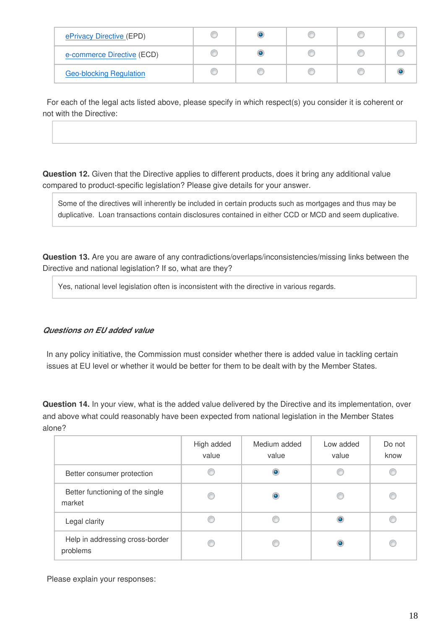| ePrivacy Directive (EPD)       |  |  |  |
|--------------------------------|--|--|--|
| e-commerce Directive (ECD)     |  |  |  |
| <b>Geo-blocking Regulation</b> |  |  |  |

For each of the legal acts listed above, please specify in which respect(s) you consider it is coherent or not with the Directive:

**Question 12.** Given that the Directive applies to different products, does it bring any additional value compared to product-specific legislation? Please give details for your answer.

Some of the directives will inherently be included in certain products such as mortgages and thus may be duplicative. Loan transactions contain disclosures contained in either CCD or MCD and seem duplicative.

**Question 13.** Are you are aware of any contradictions/overlaps/inconsistencies/missing links between the Directive and national legislation? If so, what are they?

Yes, national level legislation often is inconsistent with the directive in various regards.

#### *Questions on EU added value*

In any policy initiative, the Commission must consider whether there is added value in tackling certain issues at EU level or whether it would be better for them to be dealt with by the Member States.

**Question 14.** In your view, what is the added value delivered by the Directive and its implementation, over and above what could reasonably have been expected from national legislation in the Member States alone?

|                                             | High added<br>value | Medium added<br>value | Low added<br>value | Do not<br>know |
|---------------------------------------------|---------------------|-----------------------|--------------------|----------------|
| Better consumer protection                  |                     |                       |                    |                |
| Better functioning of the single<br>market  | C                   |                       |                    |                |
| Legal clarity                               |                     |                       |                    |                |
| Help in addressing cross-border<br>problems |                     |                       |                    |                |

Please explain your responses: